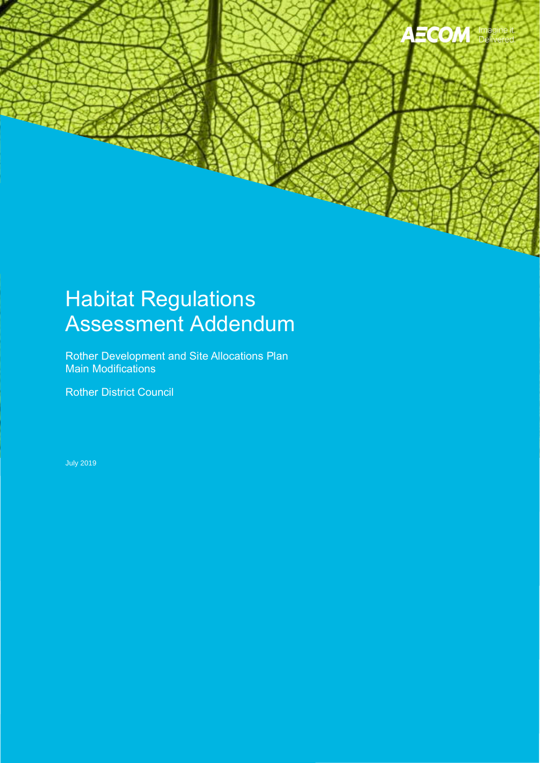

### Habitat Regulations Assessment Addendum

Rother Development and Site Allocations Plan Main Modifications

Rother District Council

July 2019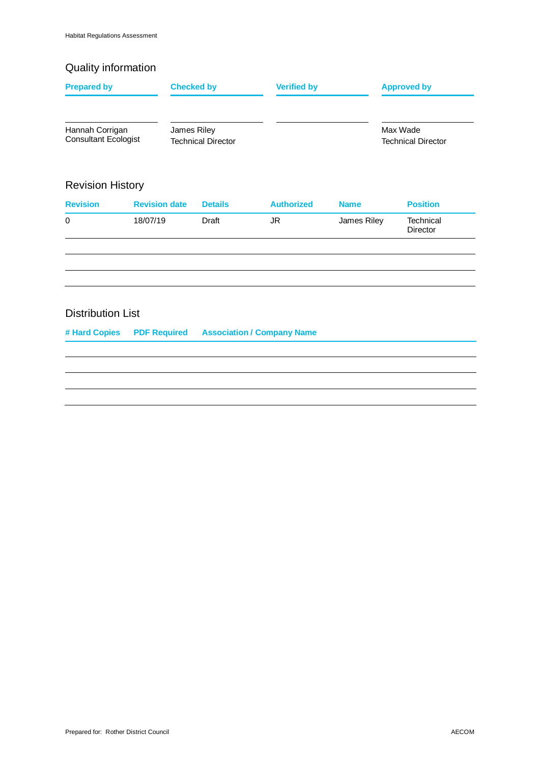#### Quality information

| <b>Prepared by</b>                             |                      | <b>Checked by</b>                        | <b>Verified by</b>                |             | <b>Approved by</b>                    |  |
|------------------------------------------------|----------------------|------------------------------------------|-----------------------------------|-------------|---------------------------------------|--|
| Hannah Corrigan<br><b>Consultant Ecologist</b> |                      | James Riley<br><b>Technical Director</b> |                                   |             | Max Wade<br><b>Technical Director</b> |  |
| <b>Revision History</b>                        |                      |                                          |                                   |             |                                       |  |
| <b>Revision</b>                                | <b>Revision date</b> | <b>Details</b>                           | <b>Authorized</b>                 | <b>Name</b> | <b>Position</b>                       |  |
| 0                                              | 18/07/19             | Draft                                    | JR.                               | James Riley | Technical<br>Director                 |  |
|                                                |                      |                                          |                                   |             |                                       |  |
| <b>Distribution List</b>                       |                      |                                          |                                   |             |                                       |  |
| # Hard Copies                                  | <b>PDF Required</b>  |                                          | <b>Association / Company Name</b> |             |                                       |  |
|                                                |                      |                                          |                                   |             |                                       |  |
|                                                |                      |                                          |                                   |             |                                       |  |
|                                                |                      |                                          |                                   |             |                                       |  |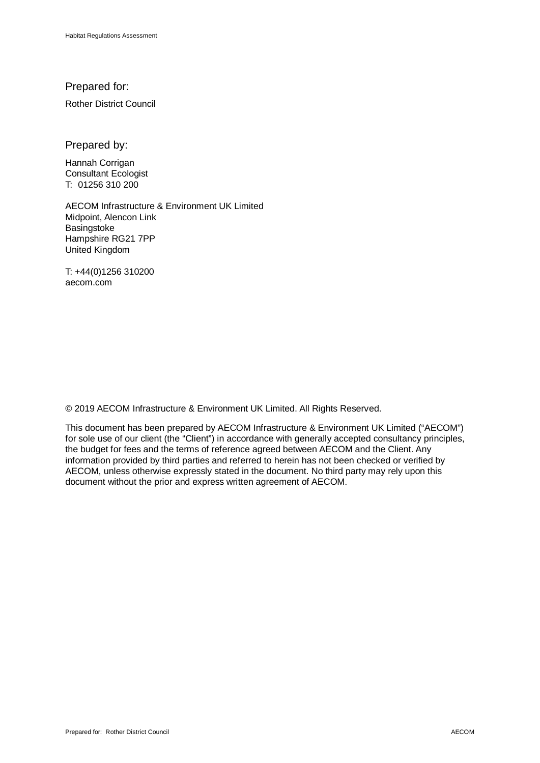#### Prepared for:

Rother District Council

Prepared by:

Hannah Corrigan Consultant Ecologist T: 01256 310 200

 AECOM Infrastructure & Environment UK Limited Midpoint, Alencon Link **Basingstoke** Hampshire RG21 7PP United Kingdom

T: +44(0)1256 310200 aecom.com

© 2019 AECOM Infrastructure & Environment UK Limited. All Rights Reserved.

This document has been prepared by AECOM Infrastructure & Environment UK Limited ("AECOM") for sole use of our client (the "Client") in accordance with generally accepted consultancy principles, the budget for fees and the terms of reference agreed between AECOM and the Client. Any information provided by third parties and referred to herein has not been checked or verified by AECOM, unless otherwise expressly stated in the document. No third party may rely upon this document without the prior and express written agreement of AECOM.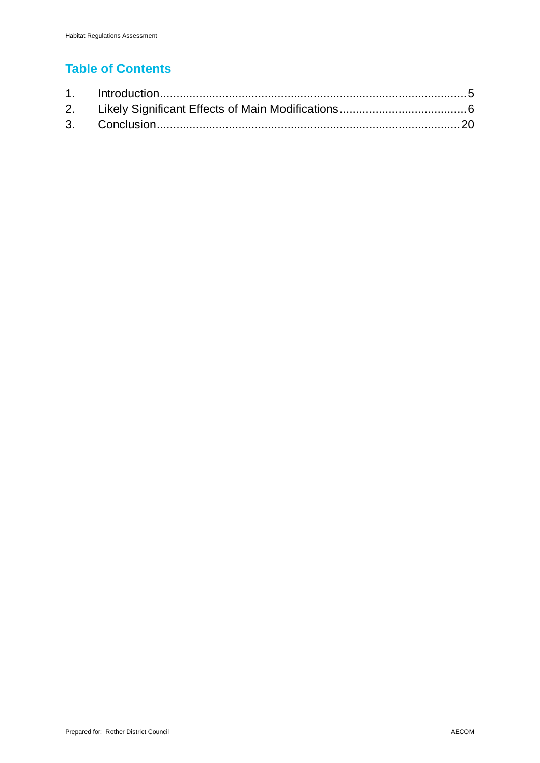### **Table of Contents**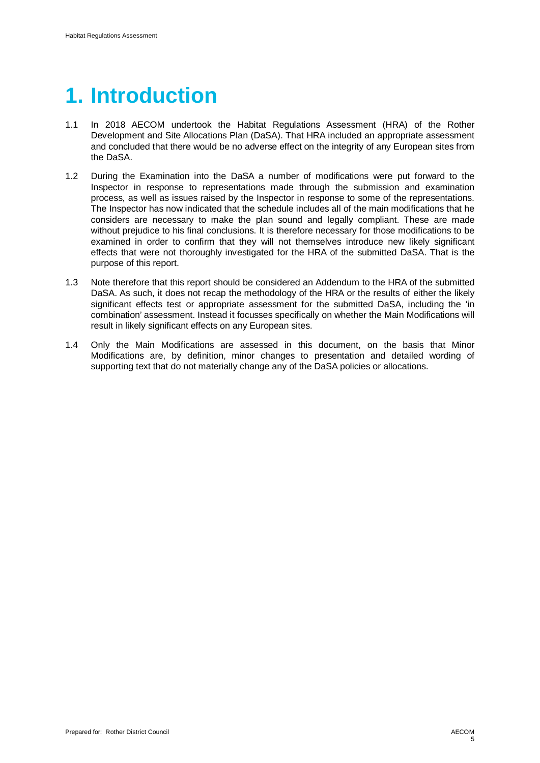# **1. Introduction**

- 1.1 In 2018 AECOM undertook the Habitat Regulations Assessment (HRA) of the Rother Development and Site Allocations Plan (DaSA). That HRA included an appropriate assessment and concluded that there would be no adverse effect on the integrity of any European sites from the DaSA.
- 1.2 During the Examination into the DaSA a number of modifications were put forward to the Inspector in response to representations made through the submission and examination process, as well as issues raised by the Inspector in response to some of the representations. The Inspector has now indicated that the schedule includes all of the main modifications that he considers are necessary to make the plan sound and legally compliant. These are made without prejudice to his final conclusions. It is therefore necessary for those modifications to be examined in order to confirm that they will not themselves introduce new likely significant effects that were not thoroughly investigated for the HRA of the submitted DaSA. That is the purpose of this report.
- 1.3 Note therefore that this report should be considered an Addendum to the HRA of the submitted DaSA. As such, it does not recap the methodology of the HRA or the results of either the likely significant effects test or appropriate assessment for the submitted DaSA, including the 'in combination' assessment. Instead it focusses specifically on whether the Main Modifications will result in likely significant effects on any European sites.
- 1.4 Only the Main Modifications are assessed in this document, on the basis that Minor Modifications are, by definition, minor changes to presentation and detailed wording of supporting text that do not materially change any of the DaSA policies or allocations.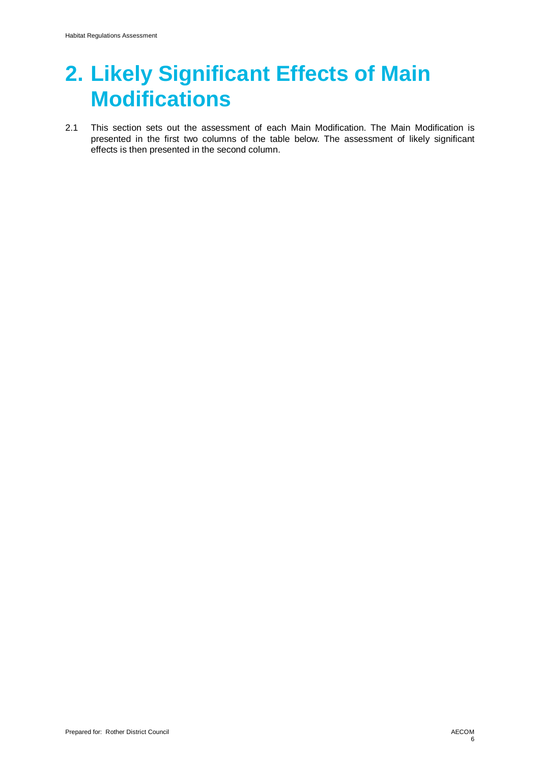### **2. Likely Significant Effects of Main Modifications**

2.1 This section sets out the assessment of each Main Modification. The Main Modification is presented in the first two columns of the table below. The assessment of likely significant effects is then presented in the second column.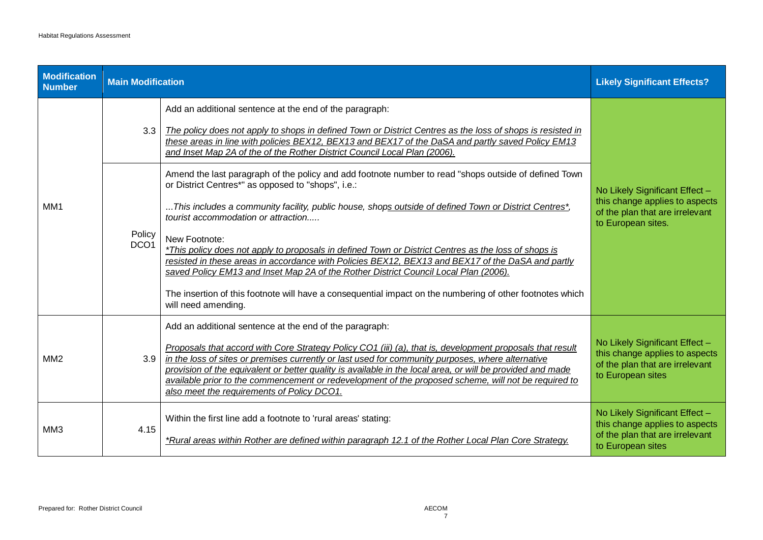| <b>Modification</b><br><b>Number</b> | <b>Main Modification</b>   |                                                                                                                                                                                                                                                                                                                                                                                                                                                                                                                                               | <b>Likely Significant Effects?</b>                                                                                        |
|--------------------------------------|----------------------------|-----------------------------------------------------------------------------------------------------------------------------------------------------------------------------------------------------------------------------------------------------------------------------------------------------------------------------------------------------------------------------------------------------------------------------------------------------------------------------------------------------------------------------------------------|---------------------------------------------------------------------------------------------------------------------------|
|                                      | 3.3                        | Add an additional sentence at the end of the paragraph:<br>The policy does not apply to shops in defined Town or District Centres as the loss of shops is resisted in<br>these areas in line with policies BEX12, BEX13 and BEX17 of the DaSA and partly saved Policy EM13<br>and Inset Map 2A of the of the Rother District Council Local Plan (2006).                                                                                                                                                                                       |                                                                                                                           |
| MM1                                  | Policy<br>DCO <sub>1</sub> | Amend the last paragraph of the policy and add footnote number to read "shops outside of defined Town<br>or District Centres*" as opposed to "shops", i.e.:<br>This includes a community facility, public house, shop <u>s outside of defined Town or District Centres*</u> ,<br>tourist accommodation or attraction<br>New Footnote:<br>*This policy does not apply to proposals in defined Town or District Centres as the loss of shops is                                                                                                 | No Likely Significant Effect -<br>this change applies to aspects<br>of the plan that are irrelevant<br>to European sites. |
|                                      |                            | resisted in these areas in accordance with Policies BEX12, BEX13 and BEX17 of the DaSA and partly<br>saved Policy EM13 and Inset Map 2A of the Rother District Council Local Plan (2006).<br>The insertion of this footnote will have a consequential impact on the numbering of other footnotes which<br>will need amending.                                                                                                                                                                                                                 |                                                                                                                           |
| MM <sub>2</sub>                      | 3.9                        | Add an additional sentence at the end of the paragraph:<br>Proposals that accord with Core Strategy Policy CO1 (iii) (a), that is, development proposals that result<br>in the loss of sites or premises currently or last used for community purposes, where alternative<br>provision of the equivalent or better quality is available in the local area, or will be provided and made<br>available prior to the commencement or redevelopment of the proposed scheme, will not be required to<br>also meet the requirements of Policy DCO1. | No Likely Significant Effect -<br>this change applies to aspects<br>of the plan that are irrelevant<br>to European sites  |
| MM3                                  | 4.15                       | Within the first line add a footnote to 'rural areas' stating:<br>*Rural areas within Rother are defined within paragraph 12.1 of the Rother Local Plan Core Strategy.                                                                                                                                                                                                                                                                                                                                                                        | No Likely Significant Effect -<br>this change applies to aspects<br>of the plan that are irrelevant<br>to European sites  |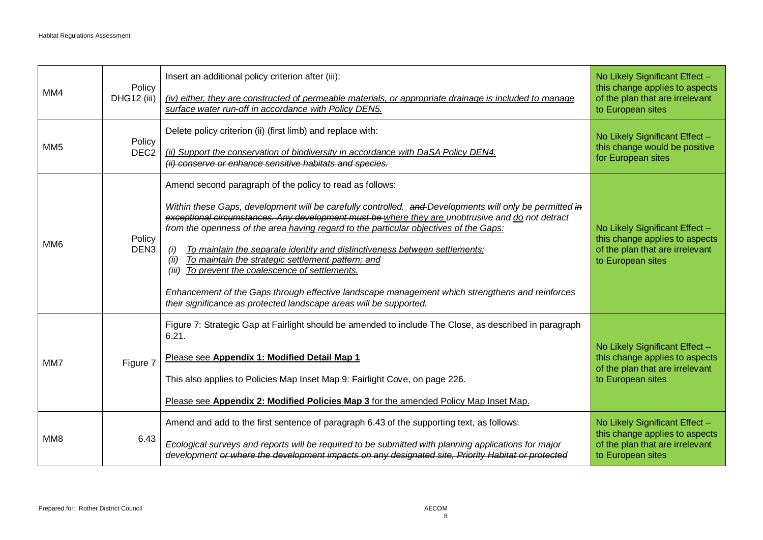| MM4             | Policy<br>DHG12 (iii)      | Insert an additional policy criterion after (iii):<br>(iv) either, they are constructed of permeable materials, or appropriate drainage is included to manage<br>surface water run-off in accordance with Policy DEN5.                                                                                                                                                                                                                                                                                                                                                                                                                                                                                                                             | No Likely Significant Effect -<br>this change applies to aspects<br>of the plan that are irrelevant<br>to European sites |
|-----------------|----------------------------|----------------------------------------------------------------------------------------------------------------------------------------------------------------------------------------------------------------------------------------------------------------------------------------------------------------------------------------------------------------------------------------------------------------------------------------------------------------------------------------------------------------------------------------------------------------------------------------------------------------------------------------------------------------------------------------------------------------------------------------------------|--------------------------------------------------------------------------------------------------------------------------|
| MM <sub>5</sub> | Policy<br>DEC <sub>2</sub> | Delete policy criterion (ii) (first limb) and replace with:<br>(ii) Support the conservation of biodiversity in accordance with DaSA Policy DEN4.<br>(ii) conserve or enhance sensitive habitats and species.                                                                                                                                                                                                                                                                                                                                                                                                                                                                                                                                      | No Likely Significant Effect -<br>this change would be positive<br>for European sites                                    |
| MM <sub>6</sub> | Policy<br>DEN <sub>3</sub> | Amend second paragraph of the policy to read as follows:<br>Within these Gaps, development will be carefully controlled. and Developments will only be permitted in<br>exceptional circumstances. Any development must be where they are unobtrusive and do not detract<br>from the openness of the area having regard to the particular objectives of the Gaps:<br>To maintain the separate identity and distinctiveness between settlements;<br>(i)<br>To maintain the strategic settlement pattern; and<br>(ii)<br>To prevent the coalescence of settlements.<br>(iii)<br>Enhancement of the Gaps through effective landscape management which strengthens and reinforces<br>their significance as protected landscape areas will be supported. | No Likely Significant Effect -<br>this change applies to aspects<br>of the plan that are irrelevant<br>to European sites |
| MM7             | Figure 7                   | Figure 7: Strategic Gap at Fairlight should be amended to include The Close, as described in paragraph<br>6.21.<br>Please see Appendix 1: Modified Detail Map 1<br>This also applies to Policies Map Inset Map 9: Fairlight Cove, on page 226.<br>Please see Appendix 2: Modified Policies Map 3 for the amended Policy Map Inset Map.                                                                                                                                                                                                                                                                                                                                                                                                             | No Likely Significant Effect -<br>this change applies to aspects<br>of the plan that are irrelevant<br>to European sites |
| MM8             | 6.43                       | Amend and add to the first sentence of paragraph 6.43 of the supporting text, as follows:<br>Ecological surveys and reports will be required to be submitted with planning applications for major<br>development or where the development impacts on any designated site, Priority Habitat or protected                                                                                                                                                                                                                                                                                                                                                                                                                                            | No Likely Significant Effect -<br>this change applies to aspects<br>of the plan that are irrelevant<br>to European sites |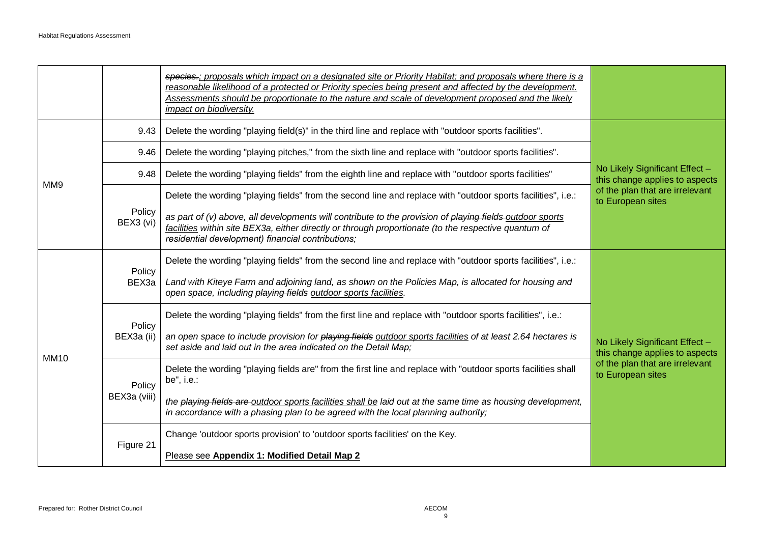|             |                        | species.; proposals which impact on a designated site or Priority Habitat; and proposals where there is a<br>reasonable likelihood of a protected or Priority species being present and affected by the development.<br>Assessments should be proportionate to the nature and scale of development proposed and the likely<br>impact on biodiversity. |                                                                  |
|-------------|------------------------|-------------------------------------------------------------------------------------------------------------------------------------------------------------------------------------------------------------------------------------------------------------------------------------------------------------------------------------------------------|------------------------------------------------------------------|
|             | 9.43                   | Delete the wording "playing field(s)" in the third line and replace with "outdoor sports facilities".                                                                                                                                                                                                                                                 |                                                                  |
|             | 9.46                   | Delete the wording "playing pitches," from the sixth line and replace with "outdoor sports facilities".                                                                                                                                                                                                                                               |                                                                  |
| MM9         | 9.48                   | Delete the wording "playing fields" from the eighth line and replace with "outdoor sports facilities"                                                                                                                                                                                                                                                 | No Likely Significant Effect -<br>this change applies to aspects |
|             |                        | Delete the wording "playing fields" from the second line and replace with "outdoor sports facilities", i.e.:                                                                                                                                                                                                                                          | of the plan that are irrelevant<br>to European sites             |
|             | Policy<br>BEX3 (vi)    | as part of (v) above, all developments will contribute to the provision of playing fields-outdoor sports<br>facilities within site BEX3a, either directly or through proportionate (to the respective quantum of<br>residential development) financial contributions;                                                                                 |                                                                  |
|             | Policy<br>BEX3a        | Delete the wording "playing fields" from the second line and replace with "outdoor sports facilities", i.e.:                                                                                                                                                                                                                                          |                                                                  |
|             |                        | Land with Kiteye Farm and adjoining land, as shown on the Policies Map, is allocated for housing and<br>open space, including playing fields outdoor sports facilities.                                                                                                                                                                               |                                                                  |
|             | Policy<br>BEX3a (ii)   | Delete the wording "playing fields" from the first line and replace with "outdoor sports facilities", i.e.:                                                                                                                                                                                                                                           |                                                                  |
|             |                        | an open space to include provision for playing fields outdoor sports facilities of at least 2.64 hectares is<br>set aside and laid out in the area indicated on the Detail Map;                                                                                                                                                                       | No Likely Significant Effect -<br>this change applies to aspects |
| <b>MM10</b> | Policy<br>BEX3a (viii) | Delete the wording "playing fields are" from the first line and replace with "outdoor sports facilities shall<br>be", i.e.:                                                                                                                                                                                                                           | of the plan that are irrelevant<br>to European sites             |
|             |                        | the playing fields are outdoor sports facilities shall be laid out at the same time as housing development,<br>in accordance with a phasing plan to be agreed with the local planning authority;                                                                                                                                                      |                                                                  |
|             |                        | Change 'outdoor sports provision' to 'outdoor sports facilities' on the Key.                                                                                                                                                                                                                                                                          |                                                                  |
|             | Figure 21              | Please see Appendix 1: Modified Detail Map 2                                                                                                                                                                                                                                                                                                          |                                                                  |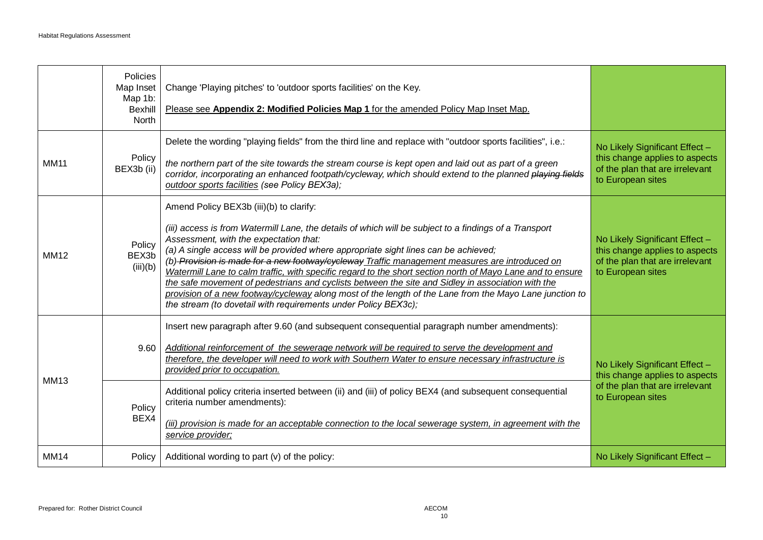|             | Policies<br>Map Inset<br>Map 1b:<br><b>Bexhill</b><br>North | Change 'Playing pitches' to 'outdoor sports facilities' on the Key.<br>Please see Appendix 2: Modified Policies Map 1 for the amended Policy Map Inset Map.                                                                                                                                                                                                                                                                                                                                                                                                                                                                                                                                                                                                                          |                                                                                                                          |
|-------------|-------------------------------------------------------------|--------------------------------------------------------------------------------------------------------------------------------------------------------------------------------------------------------------------------------------------------------------------------------------------------------------------------------------------------------------------------------------------------------------------------------------------------------------------------------------------------------------------------------------------------------------------------------------------------------------------------------------------------------------------------------------------------------------------------------------------------------------------------------------|--------------------------------------------------------------------------------------------------------------------------|
| <b>MM11</b> | Policy<br>BEX3b (ii)                                        | Delete the wording "playing fields" from the third line and replace with "outdoor sports facilities", i.e.:<br>the northern part of the site towards the stream course is kept open and laid out as part of a green<br>corridor, incorporating an enhanced footpath/cycleway, which should extend to the planned playing fields<br>outdoor sports facilities (see Policy BEX3a);                                                                                                                                                                                                                                                                                                                                                                                                     | No Likely Significant Effect -<br>this change applies to aspects<br>of the plan that are irrelevant<br>to European sites |
| <b>MM12</b> | Policy<br>BEX3b<br>(iii)(b)                                 | Amend Policy BEX3b (iii)(b) to clarify:<br>(iii) access is from Watermill Lane, the details of which will be subject to a findings of a Transport<br>Assessment, with the expectation that:<br>(a) A single access will be provided where appropriate sight lines can be achieved;<br>(b) Provision is made for a new footway/cycleway Traffic management measures are introduced on<br>Watermill Lane to calm traffic, with specific regard to the short section north of Mayo Lane and to ensure<br>the safe movement of pedestrians and cyclists between the site and Sidley in association with the<br>provision of a new footway/cycleway along most of the length of the Lane from the Mayo Lane junction to<br>the stream (to dovetail with requirements under Policy BEX3c); | No Likely Significant Effect -<br>this change applies to aspects<br>of the plan that are irrelevant<br>to European sites |
| <b>MM13</b> | 9.60<br>Policy<br>BEX4                                      | Insert new paragraph after 9.60 (and subsequent consequential paragraph number amendments):<br>Additional reinforcement of the sewerage network will be required to serve the development and<br>therefore, the developer will need to work with Southern Water to ensure necessary infrastructure is<br>provided prior to occupation.<br>Additional policy criteria inserted between (ii) and (iii) of policy BEX4 (and subsequent consequential<br>criteria number amendments):<br>(iii) provision is made for an acceptable connection to the local sewerage system, in agreement with the<br>service provider;                                                                                                                                                                   | No Likely Significant Effect -<br>this change applies to aspects<br>of the plan that are irrelevant<br>to European sites |
| <b>MM14</b> | Policy                                                      | Additional wording to part (v) of the policy:                                                                                                                                                                                                                                                                                                                                                                                                                                                                                                                                                                                                                                                                                                                                        | No Likely Significant Effect -                                                                                           |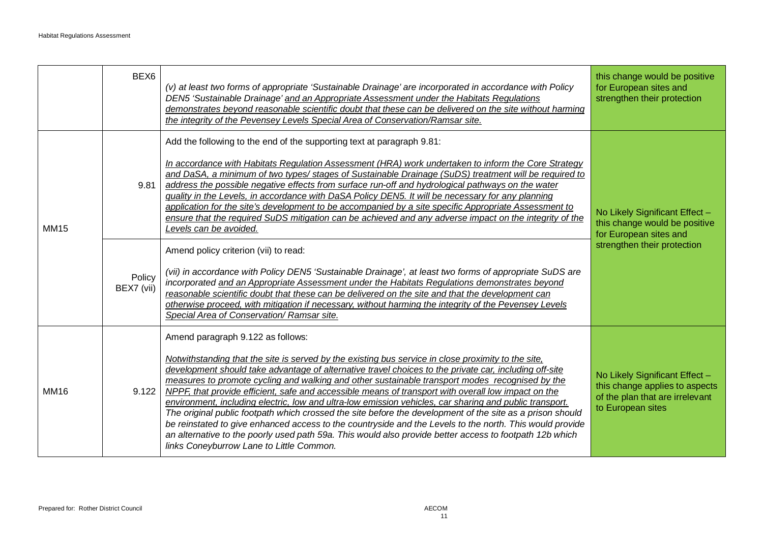|             | BEX <sub>6</sub>             | (v) at least two forms of appropriate 'Sustainable Drainage' are incorporated in accordance with Policy<br>DEN5 'Sustainable Drainage' and an Appropriate Assessment under the Habitats Regulations<br>demonstrates beyond reasonable scientific doubt that these can be delivered on the site without harming<br>the integrity of the Pevensey Levels Special Area of Conservation/Ramsar site.                                                                                                                                                                                                                                                                                                                                                                                                                                                                                                                                                                                                                                                                                                                                                                                                                 | this change would be positive<br>for European sites and<br>strengthen their protection                                   |
|-------------|------------------------------|------------------------------------------------------------------------------------------------------------------------------------------------------------------------------------------------------------------------------------------------------------------------------------------------------------------------------------------------------------------------------------------------------------------------------------------------------------------------------------------------------------------------------------------------------------------------------------------------------------------------------------------------------------------------------------------------------------------------------------------------------------------------------------------------------------------------------------------------------------------------------------------------------------------------------------------------------------------------------------------------------------------------------------------------------------------------------------------------------------------------------------------------------------------------------------------------------------------|--------------------------------------------------------------------------------------------------------------------------|
| <b>MM15</b> | 9.81<br>Policy<br>BEX7 (vii) | Add the following to the end of the supporting text at paragraph 9.81:<br>In accordance with Habitats Regulation Assessment (HRA) work undertaken to inform the Core Strategy<br>and DaSA, a minimum of two types/ stages of Sustainable Drainage (SuDS) treatment will be required to<br>address the possible negative effects from surface run-off and hydrological pathways on the water<br>quality in the Levels, in accordance with DaSA Policy DEN5. It will be necessary for any planning<br>application for the site's development to be accompanied by a site specific Appropriate Assessment to<br>ensure that the required SuDS mitigation can be achieved and any adverse impact on the integrity of the<br>Levels can be avoided.<br>Amend policy criterion (vii) to read:<br>(vii) in accordance with Policy DEN5 'Sustainable Drainage', at least two forms of appropriate SuDS are<br>incorporated and an Appropriate Assessment under the Habitats Regulations demonstrates beyond<br>reasonable scientific doubt that these can be delivered on the site and that the development can<br>otherwise proceed, with mitigation if necessary, without harming the integrity of the Pevensey Levels | No Likely Significant Effect -<br>this change would be positive<br>for European sites and<br>strengthen their protection |
| <b>MM16</b> | 9.122                        | Special Area of Conservation/ Ramsar site.<br>Amend paragraph 9.122 as follows:<br>Notwithstanding that the site is served by the existing bus service in close proximity to the site,<br>development should take advantage of alternative travel choices to the private car, including off-site<br>measures to promote cycling and walking and other sustainable transport modes recognised by the<br>NPPF, that provide efficient, safe and accessible means of transport with overall low impact on the<br>environment, including electric, low and ultra-low emission vehicles, car sharing and public transport.                                                                                                                                                                                                                                                                                                                                                                                                                                                                                                                                                                                            | No Likely Significant Effect -<br>this change applies to aspects<br>of the plan that are irrelevant<br>to European sites |
|             |                              | The original public footpath which crossed the site before the development of the site as a prison should<br>be reinstated to give enhanced access to the countryside and the Levels to the north. This would provide<br>an alternative to the poorly used path 59a. This would also provide better access to footpath 12b which<br>links Coneyburrow Lane to Little Common.                                                                                                                                                                                                                                                                                                                                                                                                                                                                                                                                                                                                                                                                                                                                                                                                                                     |                                                                                                                          |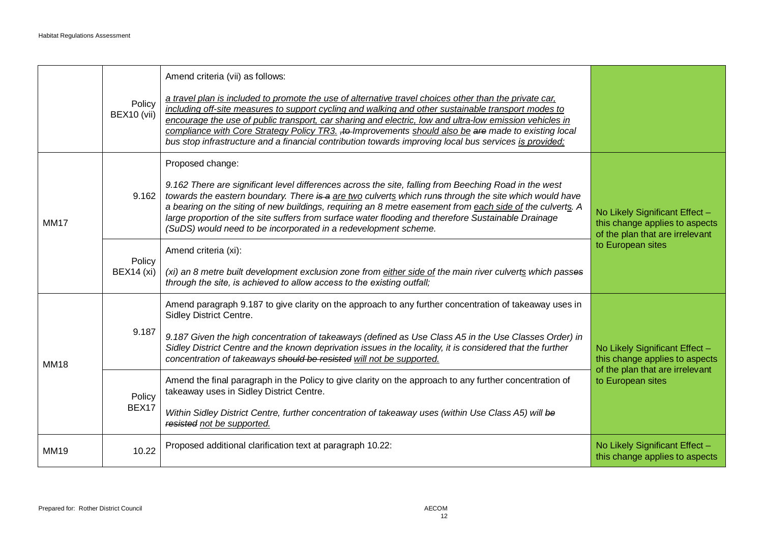|             | Policy<br>BEX10 (vii)       | Amend criteria (vii) as follows:<br>a travel plan is included to promote the use of alternative travel choices other than the private car,<br>including off-site measures to support cycling and walking and other sustainable transport modes to<br>encourage the use of public transport, car sharing and electric, low and ultra-low emission vehicles in<br>compliance with Core Strategy Policy TR3. +to Improvements should also be are made to existing local<br>bus stop infrastructure and a financial contribution towards improving local bus services is provided; |                                                                                                     |
|-------------|-----------------------------|--------------------------------------------------------------------------------------------------------------------------------------------------------------------------------------------------------------------------------------------------------------------------------------------------------------------------------------------------------------------------------------------------------------------------------------------------------------------------------------------------------------------------------------------------------------------------------|-----------------------------------------------------------------------------------------------------|
| <b>MM17</b> | 9.162                       | Proposed change:<br>9.162 There are significant level differences across the site, falling from Beeching Road in the west<br>towards the eastern boundary. There is a are two culverts which runs through the site which would have<br>a bearing on the siting of new buildings, requiring an 8 metre easement from each side of the culverts. A<br>large proportion of the site suffers from surface water flooding and therefore Sustainable Drainage<br>(SuDS) would need to be incorporated in a redevelopment scheme.                                                     | No Likely Significant Effect -<br>this change applies to aspects<br>of the plan that are irrelevant |
|             | Policy<br><b>BEX14</b> (xi) | Amend criteria (xi):<br>(xi) an 8 metre built development exclusion zone from either side of the main river culverts which passes<br>through the site, is achieved to allow access to the existing outfall;                                                                                                                                                                                                                                                                                                                                                                    | to European sites                                                                                   |
| <b>MM18</b> | 9.187                       | Amend paragraph 9.187 to give clarity on the approach to any further concentration of takeaway uses in<br>Sidley District Centre.<br>9.187 Given the high concentration of takeaways (defined as Use Class A5 in the Use Classes Order) in<br>Sidley District Centre and the known deprivation issues in the locality, it is considered that the further<br>concentration of takeaways should be resisted will not be supported.                                                                                                                                               | No Likely Significant Effect -<br>this change applies to aspects                                    |
|             | Policy<br>BEX17             | Amend the final paragraph in the Policy to give clarity on the approach to any further concentration of<br>takeaway uses in Sidley District Centre.<br>Within Sidley District Centre, further concentration of takeaway uses (within Use Class A5) will be<br>resisted not be supported.                                                                                                                                                                                                                                                                                       | of the plan that are irrelevant<br>to European sites                                                |
| <b>MM19</b> | 10.22                       | Proposed additional clarification text at paragraph 10.22:                                                                                                                                                                                                                                                                                                                                                                                                                                                                                                                     | No Likely Significant Effect -<br>this change applies to aspects                                    |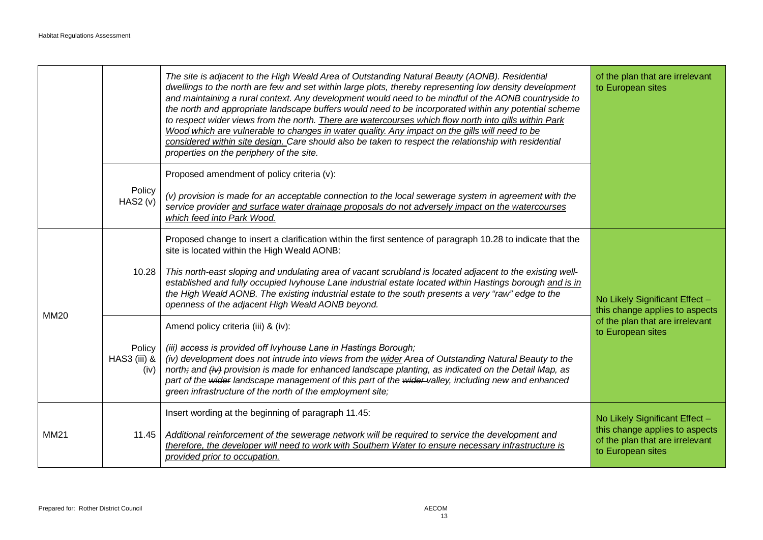|             |                                | The site is adjacent to the High Weald Area of Outstanding Natural Beauty (AONB). Residential<br>dwellings to the north are few and set within large plots, thereby representing low density development<br>and maintaining a rural context. Any development would need to be mindful of the AONB countryside to<br>the north and appropriate landscape buffers would need to be incorporated within any potential scheme<br>to respect wider views from the north. There are watercourses which flow north into gills within Park<br>Wood which are vulnerable to changes in water quality. Any impact on the gills will need to be<br>considered within site design. Care should also be taken to respect the relationship with residential<br>properties on the periphery of the site. | of the plan that are irrelevant<br>to European sites                                                                     |
|-------------|--------------------------------|-------------------------------------------------------------------------------------------------------------------------------------------------------------------------------------------------------------------------------------------------------------------------------------------------------------------------------------------------------------------------------------------------------------------------------------------------------------------------------------------------------------------------------------------------------------------------------------------------------------------------------------------------------------------------------------------------------------------------------------------------------------------------------------------|--------------------------------------------------------------------------------------------------------------------------|
|             | Policy<br>HAS2 (v)             | Proposed amendment of policy criteria (v):<br>(v) provision is made for an acceptable connection to the local sewerage system in agreement with the<br>service provider and surface water drainage proposals do not adversely impact on the watercourses<br>which feed into Park Wood.                                                                                                                                                                                                                                                                                                                                                                                                                                                                                                    |                                                                                                                          |
| <b>MM20</b> | 10.28                          | Proposed change to insert a clarification within the first sentence of paragraph 10.28 to indicate that the<br>site is located within the High Weald AONB:<br>This north-east sloping and undulating area of vacant scrubland is located adjacent to the existing well-<br>established and fully occupied Ivyhouse Lane industrial estate located within Hastings borough and is in<br>the High Weald AONB. The existing industrial estate to the south presents a very "raw" edge to the<br>openness of the adjacent High Weald AONB beyond.                                                                                                                                                                                                                                             | No Likely Significant Effect -<br>this change applies to aspects                                                         |
|             | Policy<br>HAS3 (iii) &<br>(iv) | Amend policy criteria (iii) & (iv):<br>(iii) access is provided off Ivyhouse Lane in Hastings Borough;<br>(iv) development does not intrude into views from the wider Area of Outstanding Natural Beauty to the<br>north; and $\langle i v \rangle$ provision is made for enhanced landscape planting, as indicated on the Detail Map, as<br>part of the wider landscape management of this part of the wider-valley, including new and enhanced<br>green infrastructure of the north of the employment site;                                                                                                                                                                                                                                                                             | of the plan that are irrelevant<br>to European sites                                                                     |
| MM21        | 11.45                          | Insert wording at the beginning of paragraph 11.45:<br>Additional reinforcement of the sewerage network will be required to service the development and<br>therefore, the developer will need to work with Southern Water to ensure necessary infrastructure is<br>provided prior to occupation.                                                                                                                                                                                                                                                                                                                                                                                                                                                                                          | No Likely Significant Effect -<br>this change applies to aspects<br>of the plan that are irrelevant<br>to European sites |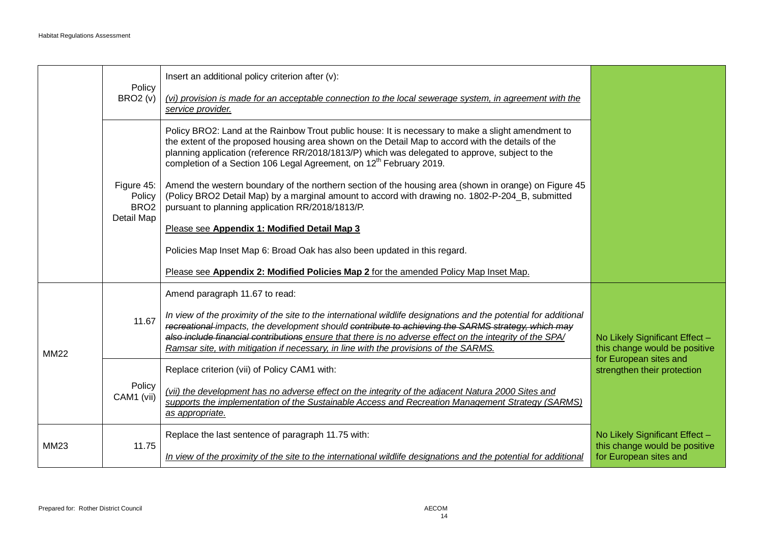|             | Policy                                   | Insert an additional policy criterion after (v):                                                                                                                                                                                                                                                                                                                                                                           |                                                                 |
|-------------|------------------------------------------|----------------------------------------------------------------------------------------------------------------------------------------------------------------------------------------------------------------------------------------------------------------------------------------------------------------------------------------------------------------------------------------------------------------------------|-----------------------------------------------------------------|
|             | <b>BRO2 (v)</b>                          | (vi) provision is made for an acceptable connection to the local sewerage system, in agreement with the<br>service provider.                                                                                                                                                                                                                                                                                               |                                                                 |
|             |                                          | Policy BRO2: Land at the Rainbow Trout public house: It is necessary to make a slight amendment to<br>the extent of the proposed housing area shown on the Detail Map to accord with the details of the<br>planning application (reference RR/2018/1813/P) which was delegated to approve, subject to the<br>completion of a Section 106 Legal Agreement, on 12 <sup>th</sup> February 2019.                               |                                                                 |
|             | Figure 45:<br>Policy<br>BRO <sub>2</sub> | Amend the western boundary of the northern section of the housing area (shown in orange) on Figure 45<br>(Policy BRO2 Detail Map) by a marginal amount to accord with drawing no. 1802-P-204_B, submitted<br>pursuant to planning application RR/2018/1813/P.                                                                                                                                                              |                                                                 |
|             | Detail Map                               | Please see Appendix 1: Modified Detail Map 3                                                                                                                                                                                                                                                                                                                                                                               |                                                                 |
|             |                                          | Policies Map Inset Map 6: Broad Oak has also been updated in this regard.                                                                                                                                                                                                                                                                                                                                                  |                                                                 |
|             |                                          | Please see Appendix 2: Modified Policies Map 2 for the amended Policy Map Inset Map.                                                                                                                                                                                                                                                                                                                                       |                                                                 |
|             |                                          | Amend paragraph 11.67 to read:                                                                                                                                                                                                                                                                                                                                                                                             |                                                                 |
| <b>MM22</b> | 11.67                                    | In view of the proximity of the site to the international wildlife designations and the potential for additional<br>recreational impacts, the development should contribute to achieving the SARMS strategy, which may<br>also include financial contributions ensure that there is no adverse effect on the integrity of the SPA/<br>Ramsar site, with mitigation if necessary, in line with the provisions of the SARMS. | No Likely Significant Effect -<br>this change would be positive |
|             |                                          | Replace criterion (vii) of Policy CAM1 with:                                                                                                                                                                                                                                                                                                                                                                               | for European sites and<br>strengthen their protection           |
|             | Policy<br>CAM1 (vii)                     | (vii) the development has no adverse effect on the integrity of the adjacent Natura 2000 Sites and<br>supports the implementation of the Sustainable Access and Recreation Management Strategy (SARMS)<br>as appropriate.                                                                                                                                                                                                  |                                                                 |
| MM23        | 11.75                                    | Replace the last sentence of paragraph 11.75 with:                                                                                                                                                                                                                                                                                                                                                                         | No Likely Significant Effect -<br>this change would be positive |
|             |                                          | In view of the proximity of the site to the international wildlife designations and the potential for additional                                                                                                                                                                                                                                                                                                           | for European sites and                                          |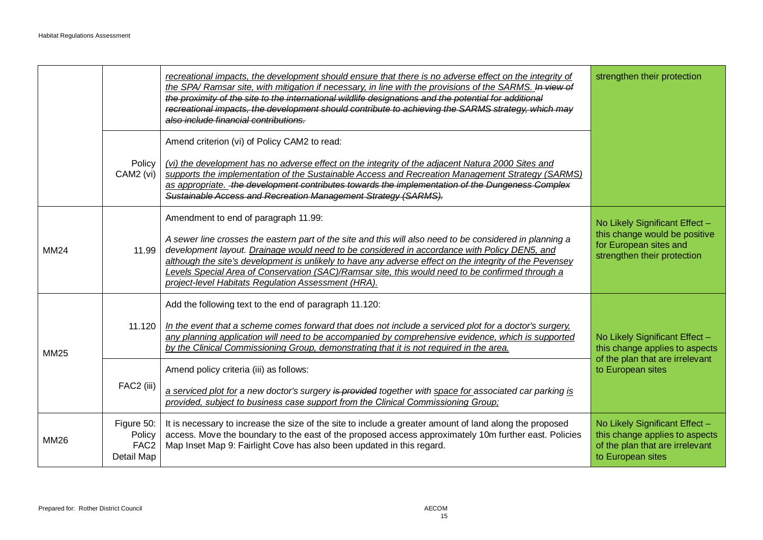|             |                                                        | recreational impacts, the development should ensure that there is no adverse effect on the integrity of<br>the SPA/ Ramsar site, with mitigation if necessary, in line with the provisions of the SARMS. In view of<br>the proximity of the site to the international wildlife designations and the potential for additional<br>recreational impacts, the development should contribute to achieving the SARMS strategy, which may<br>also include financial contributions.                                                                                                                                   | strengthen their protection                                                                                              |
|-------------|--------------------------------------------------------|---------------------------------------------------------------------------------------------------------------------------------------------------------------------------------------------------------------------------------------------------------------------------------------------------------------------------------------------------------------------------------------------------------------------------------------------------------------------------------------------------------------------------------------------------------------------------------------------------------------|--------------------------------------------------------------------------------------------------------------------------|
|             | Policy<br>CAM2 (vi)                                    | Amend criterion (vi) of Policy CAM2 to read:<br>(vi) the development has no adverse effect on the integrity of the adjacent Natura 2000 Sites and<br>supports the implementation of the Sustainable Access and Recreation Management Strategy (SARMS)<br>as appropriate. - the development contributes towards the implementation of the Dungeness Complex<br>Sustainable Access and Recreation Management Strategy (SARMS).                                                                                                                                                                                  |                                                                                                                          |
| MM24        | 11.99                                                  | Amendment to end of paragraph 11.99:<br>A sewer line crosses the eastern part of the site and this will also need to be considered in planning a<br>development layout. Drainage would need to be considered in accordance with Policy DEN5, and<br>although the site's development is unlikely to have any adverse effect on the integrity of the Pevensey<br>Levels Special Area of Conservation (SAC)/Ramsar site, this would need to be confirmed through a<br>project-level Habitats Regulation Assessment (HRA).                                                                                        | No Likely Significant Effect -<br>this change would be positive<br>for European sites and<br>strengthen their protection |
| <b>MM25</b> | 11.120<br>FAC2 (iii)                                   | Add the following text to the end of paragraph 11.120:<br>In the event that a scheme comes forward that does not include a serviced plot for a doctor's surgery,<br>any planning application will need to be accompanied by comprehensive evidence, which is supported<br>by the Clinical Commissioning Group, demonstrating that it is not required in the area.<br>Amend policy criteria (iii) as follows:<br>a serviced plot for a new doctor's surgery is provided together with space for associated car parking is<br>provided, subject to business case support from the Clinical Commissioning Group; | No Likely Significant Effect -<br>this change applies to aspects<br>of the plan that are irrelevant<br>to European sites |
| MM26        | Figure 50:<br>Policy<br>FAC <sub>2</sub><br>Detail Map | It is necessary to increase the size of the site to include a greater amount of land along the proposed<br>access. Move the boundary to the east of the proposed access approximately 10m further east. Policies<br>Map Inset Map 9: Fairlight Cove has also been updated in this regard.                                                                                                                                                                                                                                                                                                                     | No Likely Significant Effect -<br>this change applies to aspects<br>of the plan that are irrelevant<br>to European sites |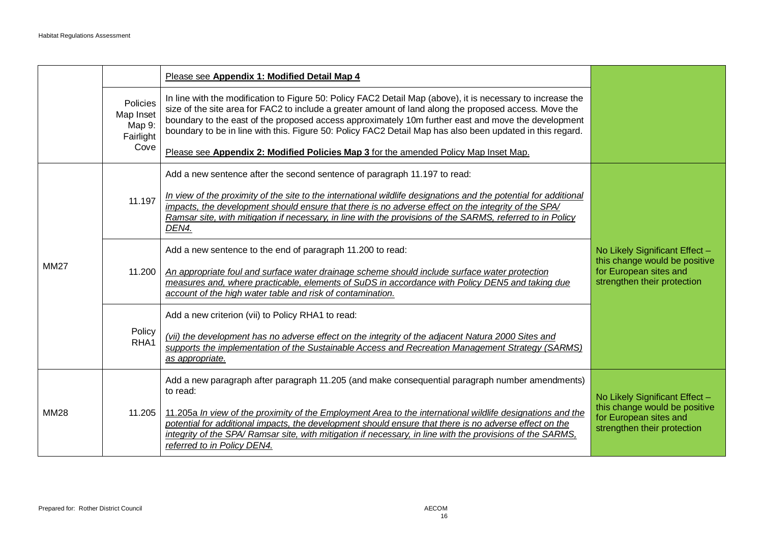|             |                                                      | Please see Appendix 1: Modified Detail Map 4                                                                                                                                                                                                                                                                                                                                                                                                                                                                                      |                                                                                                                          |
|-------------|------------------------------------------------------|-----------------------------------------------------------------------------------------------------------------------------------------------------------------------------------------------------------------------------------------------------------------------------------------------------------------------------------------------------------------------------------------------------------------------------------------------------------------------------------------------------------------------------------|--------------------------------------------------------------------------------------------------------------------------|
|             | Policies<br>Map Inset<br>Map 9:<br>Fairlight<br>Cove | In line with the modification to Figure 50: Policy FAC2 Detail Map (above), it is necessary to increase the<br>size of the site area for FAC2 to include a greater amount of land along the proposed access. Move the<br>boundary to the east of the proposed access approximately 10m further east and move the development<br>boundary to be in line with this. Figure 50: Policy FAC2 Detail Map has also been updated in this regard.<br>Please see Appendix 2: Modified Policies Map 3 for the amended Policy Map Inset Map. |                                                                                                                          |
|             |                                                      | Add a new sentence after the second sentence of paragraph 11.197 to read:                                                                                                                                                                                                                                                                                                                                                                                                                                                         |                                                                                                                          |
|             | 11.197                                               | In view of the proximity of the site to the international wildlife designations and the potential for additional<br>impacts, the development should ensure that there is no adverse effect on the integrity of the SPA/<br>Ramsar site, with mitigation if necessary, in line with the provisions of the SARMS, referred to in Policy<br>DEN4.                                                                                                                                                                                    |                                                                                                                          |
|             | 11.200                                               | Add a new sentence to the end of paragraph 11.200 to read:                                                                                                                                                                                                                                                                                                                                                                                                                                                                        | No Likely Significant Effect -                                                                                           |
| <b>MM27</b> |                                                      | An appropriate foul and surface water drainage scheme should include surface water protection<br>measures and, where practicable, elements of SuDS in accordance with Policy DEN5 and taking due<br>account of the high water table and risk of contamination.                                                                                                                                                                                                                                                                    | this change would be positive<br>for European sites and<br>strengthen their protection                                   |
|             | Policy<br>RHA1                                       | Add a new criterion (vii) to Policy RHA1 to read:                                                                                                                                                                                                                                                                                                                                                                                                                                                                                 |                                                                                                                          |
|             |                                                      | (vii) the development has no adverse effect on the integrity of the adjacent Natura 2000 Sites and<br>supports the implementation of the Sustainable Access and Recreation Management Strategy (SARMS)<br>as appropriate.                                                                                                                                                                                                                                                                                                         |                                                                                                                          |
| <b>MM28</b> |                                                      | Add a new paragraph after paragraph 11.205 (and make consequential paragraph number amendments)<br>to read:                                                                                                                                                                                                                                                                                                                                                                                                                       |                                                                                                                          |
|             | 11.205                                               | 11.205a In view of the proximity of the Employment Area to the international wildlife designations and the<br>potential for additional impacts, the development should ensure that there is no adverse effect on the<br>integrity of the SPA/ Ramsar site, with mitigation if necessary, in line with the provisions of the SARMS,<br>referred to in Policy DEN4.                                                                                                                                                                 | No Likely Significant Effect -<br>this change would be positive<br>for European sites and<br>strengthen their protection |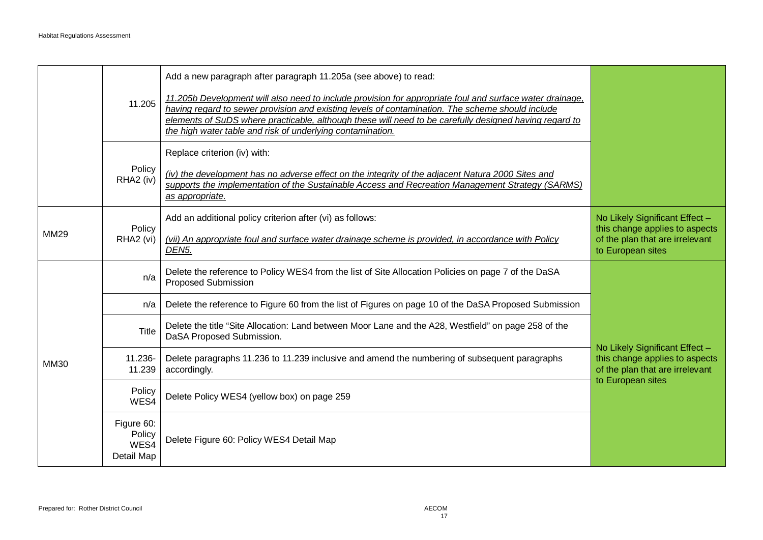|             |                                            | Add a new paragraph after paragraph 11.205a (see above) to read:                                                                                                                                                                                                                                                                                                                     |                                                                                                                          |
|-------------|--------------------------------------------|--------------------------------------------------------------------------------------------------------------------------------------------------------------------------------------------------------------------------------------------------------------------------------------------------------------------------------------------------------------------------------------|--------------------------------------------------------------------------------------------------------------------------|
|             | 11.205                                     | 11.205b Development will also need to include provision for appropriate foul and surface water drainage,<br>having regard to sewer provision and existing levels of contamination. The scheme should include<br>elements of SuDS where practicable, although these will need to be carefully designed having regard to<br>the high water table and risk of underlying contamination. |                                                                                                                          |
|             |                                            | Replace criterion (iv) with:                                                                                                                                                                                                                                                                                                                                                         |                                                                                                                          |
|             | Policy<br>RHA2 (iv)                        | (iv) the development has no adverse effect on the integrity of the adjacent Natura 2000 Sites and<br>supports the implementation of the Sustainable Access and Recreation Management Strategy (SARMS)<br>as appropriate.                                                                                                                                                             |                                                                                                                          |
| MM29        | Policy<br>RHA <sub>2</sub> (vi)            | Add an additional policy criterion after (vi) as follows:                                                                                                                                                                                                                                                                                                                            | No Likely Significant Effect -<br>this change applies to aspects                                                         |
|             |                                            | (vii) An appropriate foul and surface water drainage scheme is provided, in accordance with Policy<br>DEN <sub>5</sub> .                                                                                                                                                                                                                                                             | of the plan that are irrelevant<br>to European sites                                                                     |
| <b>MM30</b> | n/a                                        | Delete the reference to Policy WES4 from the list of Site Allocation Policies on page 7 of the DaSA<br>Proposed Submission                                                                                                                                                                                                                                                           | No Likely Significant Effect -<br>this change applies to aspects<br>of the plan that are irrelevant<br>to European sites |
|             | n/a                                        | Delete the reference to Figure 60 from the list of Figures on page 10 of the DaSA Proposed Submission                                                                                                                                                                                                                                                                                |                                                                                                                          |
|             | Title                                      | Delete the title "Site Allocation: Land between Moor Lane and the A28, Westfield" on page 258 of the<br>DaSA Proposed Submission.                                                                                                                                                                                                                                                    |                                                                                                                          |
|             | 11.236-<br>11.239                          | Delete paragraphs 11.236 to 11.239 inclusive and amend the numbering of subsequent paragraphs<br>accordingly.                                                                                                                                                                                                                                                                        |                                                                                                                          |
|             | Policy<br>WES4                             | Delete Policy WES4 (yellow box) on page 259                                                                                                                                                                                                                                                                                                                                          |                                                                                                                          |
|             | Figure 60:<br>Policy<br>WES4<br>Detail Map | Delete Figure 60: Policy WES4 Detail Map                                                                                                                                                                                                                                                                                                                                             |                                                                                                                          |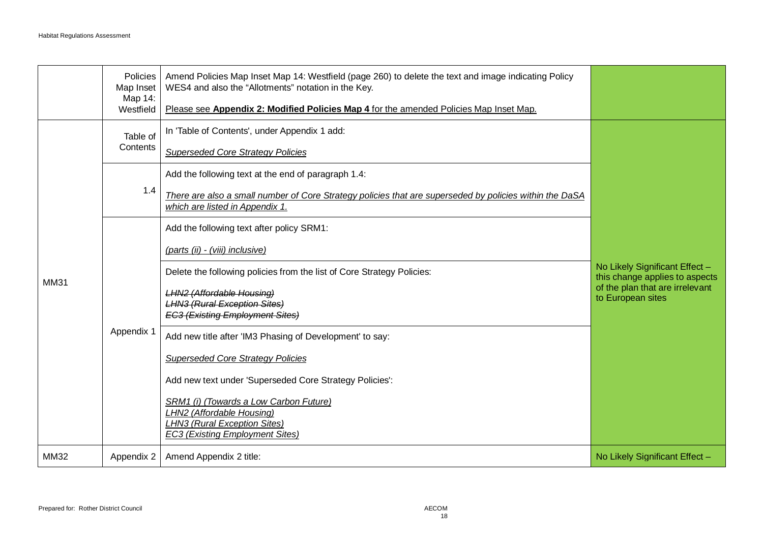|             | Policies<br>Map Inset<br>Map 14:<br>Westfield | Amend Policies Map Inset Map 14: Westfield (page 260) to delete the text and image indicating Policy<br>WES4 and also the "Allotments" notation in the Key.<br>Please see Appendix 2: Modified Policies Map 4 for the amended Policies Map Inset Map.                                                                                                                                                                                                                                                                                                                                                         |                                                                                                                          |
|-------------|-----------------------------------------------|---------------------------------------------------------------------------------------------------------------------------------------------------------------------------------------------------------------------------------------------------------------------------------------------------------------------------------------------------------------------------------------------------------------------------------------------------------------------------------------------------------------------------------------------------------------------------------------------------------------|--------------------------------------------------------------------------------------------------------------------------|
| <b>MM31</b> | Table of<br>Contents                          | In 'Table of Contents', under Appendix 1 add:<br><b>Superseded Core Strategy Policies</b>                                                                                                                                                                                                                                                                                                                                                                                                                                                                                                                     |                                                                                                                          |
|             | 1.4                                           | Add the following text at the end of paragraph 1.4:<br>There are also a small number of Core Strategy policies that are superseded by policies within the DaSA<br>which are listed in Appendix 1.                                                                                                                                                                                                                                                                                                                                                                                                             |                                                                                                                          |
|             | Appendix 1                                    | Add the following text after policy SRM1:<br>(parts (ii) - (viii) inclusive)<br>Delete the following policies from the list of Core Strategy Policies:<br><b>LHN2 (Affordable Housing)</b><br><b>LHN3 (Rural Exception Sites)</b><br><b>EC3 (Existing Employment Sites)</b><br>Add new title after 'IM3 Phasing of Development' to say:<br><b>Superseded Core Strategy Policies</b><br>Add new text under 'Superseded Core Strategy Policies':<br>SRM1 (i) (Towards a Low Carbon Future)<br><b>LHN2 (Affordable Housing)</b><br><b>LHN3 (Rural Exception Sites)</b><br><b>EC3 (Existing Employment Sites)</b> | No Likely Significant Effect -<br>this change applies to aspects<br>of the plan that are irrelevant<br>to European sites |
| MM32        | Appendix 2                                    | Amend Appendix 2 title:                                                                                                                                                                                                                                                                                                                                                                                                                                                                                                                                                                                       | No Likely Significant Effect -                                                                                           |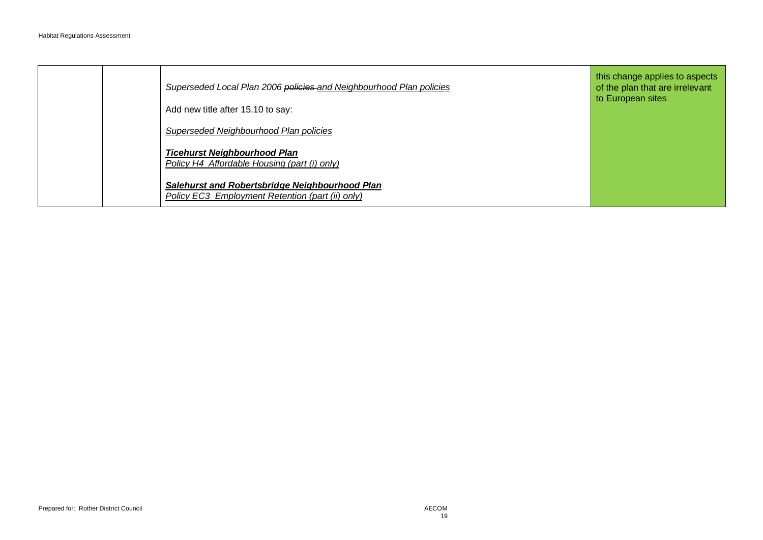|  | Superseded Local Plan 2006 policies and Neighbourhood Plan policies<br>Add new title after 15.10 to say:  | this change applies to aspects<br>of the plan that are irrelevant<br>to European sites |
|--|-----------------------------------------------------------------------------------------------------------|----------------------------------------------------------------------------------------|
|  | Superseded Neighbourhood Plan policies                                                                    |                                                                                        |
|  | <b>Ticehurst Neighbourhood Plan</b><br>Policy H4 Affordable Housing (part (i) only)                       |                                                                                        |
|  | Salehurst and Robertsbridge Neighbourhood Plan<br><b>Policy EC3 Employment Retention (part (ii) only)</b> |                                                                                        |